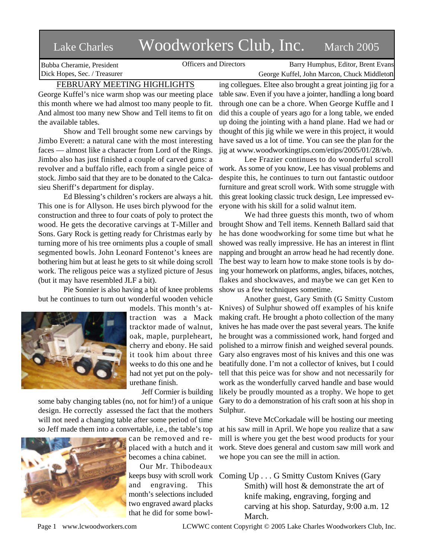# Lake Charles Woodworkers Club, Inc. March 2005

Bubba Cheramie, President Dick Hopes, Sec. / Treasurer

Officers and Directors Barry Humphus, Editor, Brent Evans George Kuffel, John Marcon, Chuck Middleton

# FEBRUARY MEETING HIGHLIGHTS

George Kuffel's nice warm shop was our meeting place this month where we had almost too many people to fit. And almost too many new Show and Tell items to fit on the available tables.

Show and Tell brought some new carvings by Jimbo Everett: a natural cane with the most interesting faces — almost like a character from Lord of the Rings. Jimbo also has just finished a couple of carved guns: a revolver and a buffalo rifle, each from a single peice of stock. Jimbo said that they are to be donated to the Calcasieu Sheriff's department for display.

Ed Blessing's children's rockers are always a hit. This one is for Allyson. He uses birch plywood for the construction and three to four coats of poly to protect the wood. He gets the decorative carvings at T-Miller and Sons. Gary Rock is getting ready for Christmas early by turning more of his tree orniments plus a couple of small segmented bowls. John Leonard Fontenot's knees are bothering him but at least he gets to sit while doing scroll work. The religous peice was a stylized picture of Jesus (but it may have resembled JLF a bit).

Pie Sonnier is also having a bit of knee problems but he continues to turn out wonderful wooden vehicle



models. This month's attraction was a Mack tracktor made of walnut, oak, maple, purpleheart, cherry and ebony. He said it took him about three weeks to do this one and he had not yet put on the polyurethane finish.

Jeff Cormier is building

some baby changing tables (no, not for him!) of a unique design. He correctly assessed the fact that the mothers will not need a changing table after some period of time so Jeff made them into a convertable, i.e., the table's top



can be removed and replaced with a hutch and it becomes a china cabinet.

Our Mr. Thibodeaux keeps busy with scroll work and engraving. This month's selections included two engraved award placks that he did for some bowling collegues. Eltee also brought a great jointing jig for a table saw. Even if you have a jointer, handling a long board through one can be a chore. When George Kuffle and I did this a couple of years ago for a long table, we ended up doing the jointing with a hand plane. Had we had or thought of this jig while we were in this project, it would have saved us a lot of time. You can see the plan for the jig at www.woodworkingtips.com/etips/2005/01/28/wb.

Lee Frazier continues to do wonderful scroll work. As some of you know, Lee has visual problems and despite this, he continues to turn out fantastic outdoor furniture and great scroll work. With some struggle with this great looking classic truck design, Lee impressed everyone with his skill for a solid walnut item.

We had three guests this month, two of whom brought Show and Tell items. Kenneth Ballard said that he has done woodworking for some time but what he showed was really impressive. He has an interest in flint napping and brought an arrow head he had recently done. The best way to learn how to make stone tools is by doing your homework on platforms, angles, bifaces, notches, flakes and shockwaves, and maybe we can get Ken to show us a few techniques sometime.

Another guest, Gary Smith (G Smitty Custom Knives) of Sulphur showed off examples of his knife making craft. He brought a photo collection of the many knives he has made over the past several years. The knife he brought was a commissioned work, hand forged and polished to a mirrow finish and weighed several pounds. Gary also engraves most of his knives and this one was beatifully done. I'm not a collector of knives, but I could tell that this peice was for show and not necessarily for work as the wonderfully carved handle and base would likely be proudly mounted as a trophy. We hope to get Gary to do a demonstration of his craft soon at his shop in Sulphur.

Steve McCorkadale will be hosting our meeting at his saw mill in April. We hope you realize that a saw mill is where you get the best wood products for your work. Steve does general and custom saw mill work and we hope you can see the mill in action.

Coming Up . . . G Smitty Custom Knives (Gary Smith) will host & demonstrate the art of knife making, engraving, forging and carving at his shop. Saturday, 9:00 a.m. 12 March.

Page 1 www.lcwoodworkers.com LCWWC content Copyright © 2005 Lake Charles Woodworkers Club, Inc.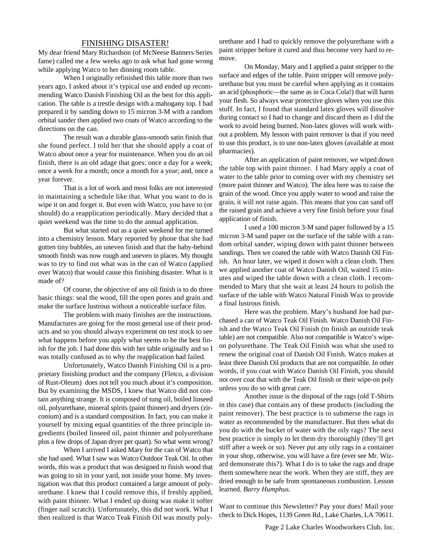#### FINISHING DISASTER!

My dear friend Mary Richardson (of McNeese Banners Series fame) called me a few weeks ago to ask what had gone wrong while applying Watco to her dinning room table.

When I originally refinished this table more than two years ago, I asked about it's typical use and ended up recommending Watco Danish Finishing Oil as the best for this application. The table is a trestle design with a mahogany top. I had prepared it by sanding down to 15 micron 3-M with a random orbital sander then applied two coats of Watco according to the directions on the can.

The result was a durable glass-smooth satin finish that she found perfect. I told her that she should apply a coat of Watco about once a year for maintenance. When you do an oil finish, there is an old adage that goes: once a day for a week; once a week for a month; once a month for a year; and, once a year forever.

That is a lot of work and most folks are not interested in maintaining a schedule like that. What you want to do is wipe it on and forget it. But even with Watco, you have to (or should) do a reapplication periodically. Mary decided that a quiet weekend was the time to do the annual application.

But what started out as a quiet weekend for me turned into a chemistry lesson. Mary reported by phone that she had gotten tiny bubbles, an uneven finish and that the baby-behind smooth finish was now rough and uneven in places. My thought was to try to find out what was in the can of Watco (applied over Watco) that would cause this finishing disaster. What is it made of?

Of course, the objective of any oil finish is to do three basic things: seal the wood, fill the open pores and grain and make the surface lustrous without a noticeable surface film.

The problem with many finishes are the instructions. Manufactures are going for the most general use of their products and so you should always experiment on test stock to see what happens before you apply what seems to be the best finish for the job. I had done this with her table originally and so I was totally confused as to why the reapplication had failed.

Unfortunately, Watco Danish Finishing Oil is a proprietary finishing product and the company (Fletco, a division of Rust-Oleum) does not tell you much about it's composition. But by examining the MSDS, I knew that Watco did not contain anything strange. It is composed of tung oil, boiled linseed oil, polyurethane, mineral spirits (paint thinner) and dryers (zirconium) and is a standard composition. In fact, you can make it yourself by mixing equal quantities of the three principle ingredients (boiled linseed oil, paint thinner and polyurethane plus a few drops of Japan dryer per quart). So what went wrong?

When I arrived I asked Mary for the can of Watco that she had used. What I saw was Watco Outdoor Teak Oil. In other words, this was a product that was designed to finish wood that was going to sit in your yard, not inside your home. My investigation was that this product contained a large amount of polyurethane. I knew that I could remove this, if freshly applied, with paint thinner. What I ended up doing was make it softer (finger nail scratch). Unfortunately, this did not work. What I then realized is that Watco Teak Finish Oil was mostly polyurethane and I had to quickly remove the polyurethane with a paint stripper before it cured and thus become very hard to remove.

On Monday, Mary and I applied a paint stripper to the surface and edges of the table. Paint stripper will remove polyurethane but you must be careful when applying as it contains an acid (phosphoric—the same as in Coca Cola!) that will harm your flesh. So always wear protective gloves when you use this stuff. In fact, I found that standard latex gloves will dissolve during contact so I had to change and discard them as I did the work to avoid being burned. Non-latex gloves will work without a problem. My lesson with paint remover is that if you need to use this product, is to use non-latex gloves (available at most pharmacies).

After an application of paint remover, we wiped down the table top with paint thinner. I had Mary apply a coat of water to the table prior to coming over with my chemistry set (more paint thinner and Watco). The idea here was to raise the grain of the wood. Once you apply water to wood and raise the grain, it will not raise again. This means that you can sand off the raised grain and achieve a very fine finish before your final application of finish.

I used a 100 micron 3-M sand paper followed by a 15 micron 3-M sand paper on the surface of the table with a random orbital sander, wiping down with paint thinner between sandings. Then we coated the table with Watco Danish Oil Finish. An hour later, we wiped it down with a clean cloth. Then we applied another coat of Watco Danish Oil, waited 15 minutes and wiped the table down with a clean cloth. I recommended to Mary that she wait at least 24 hours to polish the surface of the table with Watco Natural Finish Wax to provide a final lustrous finish.

Here was the problem. Mary's husband Joe had purchased a can of Watco Teak Oil Finish. Watco Danish Oil Finish and the Watco Teak Oil Finish (to finish an outside teak table) are not compatible. Also not compatible is Watco's wipeon polyurethane. The Teak Oil Finish was what she used to renew the original coat of Danish Oil Finish. Watco makes at least three Danish Oil products that are not compatible. In other words, if you coat with Watco Danish Oil Finish, you should not over coat that with the Teak Oil finish or their wipe-on poly unless you do so with great care.

Another issue is the disposal of the rags (old T-Shirts in this case) that contain any of these products (including the paint remover). The best practice is to submerse the rags in water as recommended by the manufacturer. But then what do you do with the bucket of water with the oily rags? The next best practice is simply to let them dry thoroughly (they'll get stiff after a week or so). Never put any oily rags in a container in your shop, otherwise, you will have a fire (ever see Mr. Wizard demonstrate this?). What I do is to take the rags and drape them somewhere near the work. When they are stiff, they are dried enough to be safe from spontaneous combustion. Lesson learned. *Barry Humphus*.

Want to continue this Newsletter? Pay your dues! Mail your check to Dick Hopes, 1139 Green Rd., Lake Charles, LA 70611.